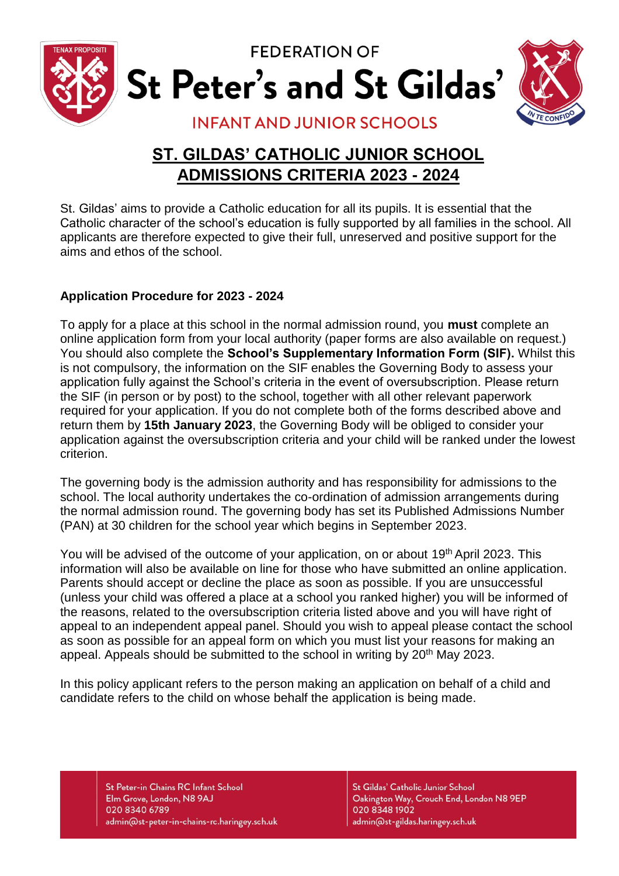

**FEDERATION OF** St Peter's and St Gildas'



# **INFANT AND JUNIOR SCHOOLS**

# **ST. GILDAS' CATHOLIC JUNIOR SCHOOL ADMISSIONS CRITERIA 2023 - 2024**

St. Gildas' aims to provide a Catholic education for all its pupils. It is essential that the Catholic character of the school's education is fully supported by all families in the school. All applicants are therefore expected to give their full, unreserved and positive support for the aims and ethos of the school.

# **Application Procedure for 2023 - 2024**

To apply for a place at this school in the normal admission round, you **must** complete an online application form from your local authority (paper forms are also available on request.) You should also complete the **School's Supplementary Information Form (SIF).** Whilst this is not compulsory, the information on the SIF enables the Governing Body to assess your application fully against the School's criteria in the event of oversubscription. Please return the SIF (in person or by post) to the school, together with all other relevant paperwork required for your application. If you do not complete both of the forms described above and return them by **15th January 2023**, the Governing Body will be obliged to consider your application against the oversubscription criteria and your child will be ranked under the lowest criterion.

The governing body is the admission authority and has responsibility for admissions to the school. The local authority undertakes the co-ordination of admission arrangements during the normal admission round. The governing body has set its Published Admissions Number (PAN) at 30 children for the school year which begins in September 2023.

You will be advised of the outcome of your application, on or about 19<sup>th</sup> April 2023. This information will also be available on line for those who have submitted an online application. Parents should accept or decline the place as soon as possible. If you are unsuccessful (unless your child was offered a place at a school you ranked higher) you will be informed of the reasons, related to the oversubscription criteria listed above and you will have right of appeal to an independent appeal panel. Should you wish to appeal please contact the school as soon as possible for an appeal form on which you must list your reasons for making an appeal. Appeals should be submitted to the school in writing by 20<sup>th</sup> May 2023.

In this policy applicant refers to the person making an application on behalf of a child and candidate refers to the child on whose behalf the application is being made.

St Peter-in Chains RC Infant School Elm Grove, London, N8 9AJ 020 8340 6789 admin@st-peter-in-chains-rc.haringey.sch.uk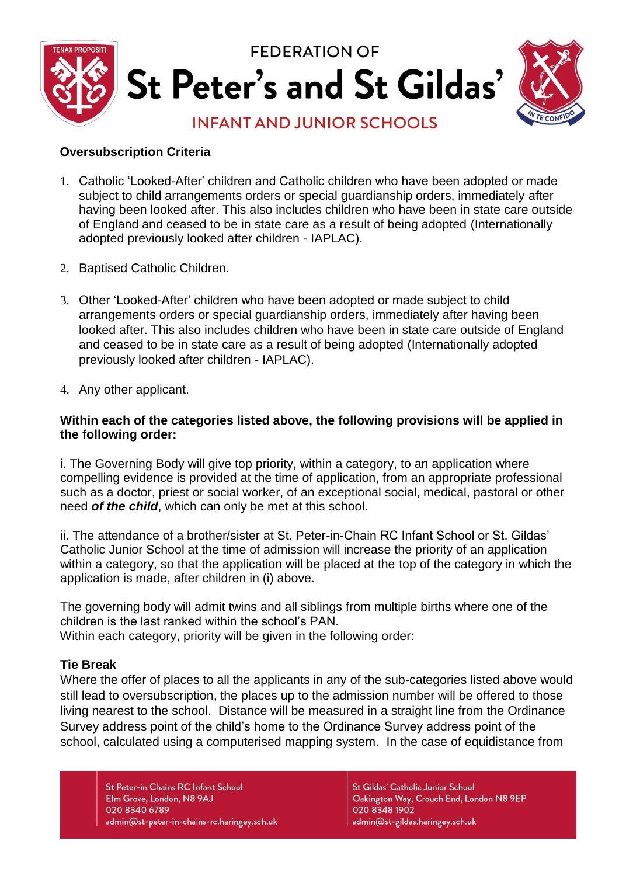

#### **Oversubscription Criteria**

- 1. Catholic 'Looked-After' children and Catholic children who have been adopted or made subject to child arrangements orders or special guardianship orders, immediately after having been looked after. This also includes children who have been in state care outside of England and ceased to be in state care as a result of being adopted (Internationally adopted previously looked after children - IAPLAC).
- 2. Baptised Catholic Children.
- 3. Other 'Looked-After' children who have been adopted or made subject to child arrangements orders or special guardianship orders, immediately after having been looked after. This also includes children who have been in state care outside of England and ceased to be in state care as a result of being adopted (Internationally adopted previously looked after children - IAPLAC).
- 4. Any other applicant.

#### **Within each of the categories listed above, the following provisions will be applied in the following order:**

i. The Governing Body will give top priority, within a category, to an application where compelling evidence is provided at the time of application, from an appropriate professional such as a doctor, priest or social worker, of an exceptional social, medical, pastoral or other need *of the child*, which can only be met at this school.

ii. The attendance of a brother/sister at St. Peter-in-Chain RC Infant School or St. Gildas' Catholic Junior School at the time of admission will increase the priority of an application within a category, so that the application will be placed at the top of the category in which the application is made, after children in (i) above.

The governing body will admit twins and all siblings from multiple births where one of the children is the last ranked within the school's PAN.

Within each category, priority will be given in the following order:

#### **Tie Break**

Where the offer of places to all the applicants in any of the sub-categories listed above would still lead to oversubscription, the places up to the admission number will be offered to those living nearest to the school. Distance will be measured in a straight line from the Ordinance Survey address point of the child's home to the Ordinance Survey address point of the school, calculated using a computerised mapping system. In the case of equidistance from

St Peter-in Chains RC Infant School Elm Grove, London, N8 9AJ 020 8340 6789 admin@st-peter-in-chains-rc.haringey.sch.uk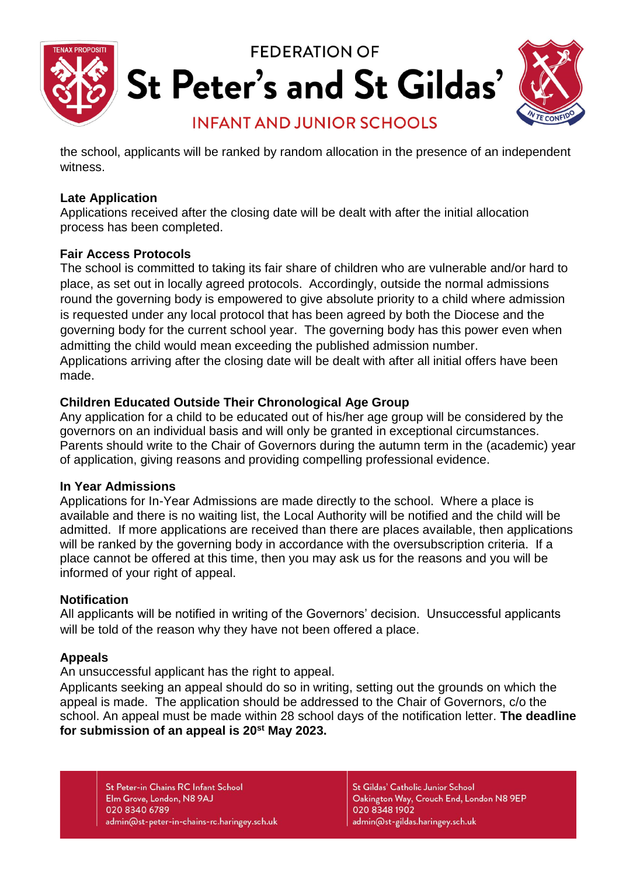

the school, applicants will be ranked by random allocation in the presence of an independent witness.

#### **Late Application**

Applications received after the closing date will be dealt with after the initial allocation process has been completed.

#### **Fair Access Protocols**

The school is committed to taking its fair share of children who are vulnerable and/or hard to place, as set out in locally agreed protocols. Accordingly, outside the normal admissions round the governing body is empowered to give absolute priority to a child where admission is requested under any local protocol that has been agreed by both the Diocese and the governing body for the current school year. The governing body has this power even when admitting the child would mean exceeding the published admission number. Applications arriving after the closing date will be dealt with after all initial offers have been made.

#### **Children Educated Outside Their Chronological Age Group**

Any application for a child to be educated out of his/her age group will be considered by the governors on an individual basis and will only be granted in exceptional circumstances. Parents should write to the Chair of Governors during the autumn term in the (academic) year of application, giving reasons and providing compelling professional evidence.

#### **In Year Admissions**

Applications for In-Year Admissions are made directly to the school. Where a place is available and there is no waiting list, the Local Authority will be notified and the child will be admitted. If more applications are received than there are places available, then applications will be ranked by the governing body in accordance with the oversubscription criteria. If a place cannot be offered at this time, then you may ask us for the reasons and you will be informed of your right of appeal.

# **Notification**

All applicants will be notified in writing of the Governors' decision. Unsuccessful applicants will be told of the reason why they have not been offered a place.

# **Appeals**

An unsuccessful applicant has the right to appeal.

Applicants seeking an appeal should do so in writing, setting out the grounds on which the appeal is made. The application should be addressed to the Chair of Governors, c/o the school. An appeal must be made within 28 school days of the notification letter. **The deadline for submission of an appeal is 20st May 2023.** 

St Peter-in Chains RC Infant School Elm Grove, London, N8 9AJ 020 8340 6789 admin@st-peter-in-chains-rc.haringey.sch.uk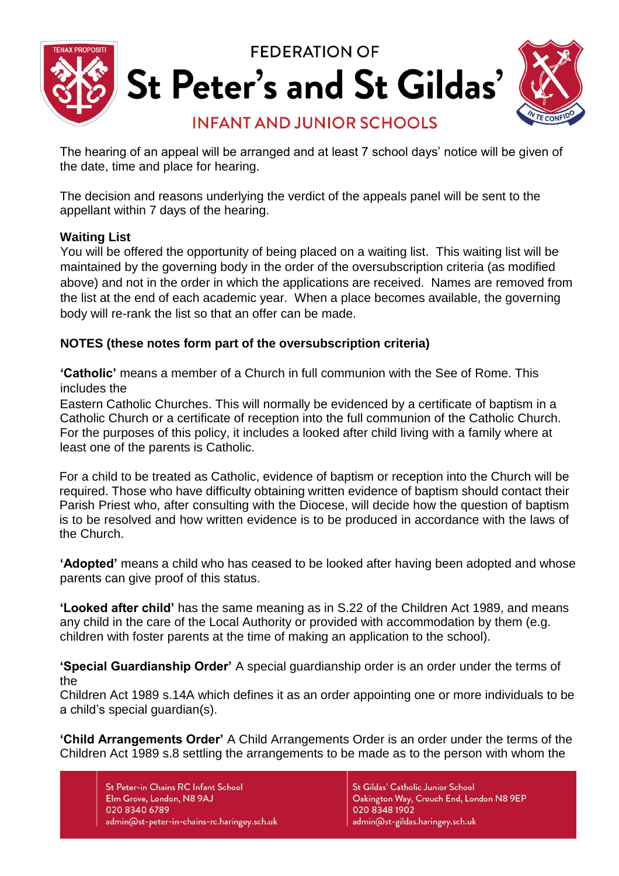

The hearing of an appeal will be arranged and at least 7 school days' notice will be given of the date, time and place for hearing.

The decision and reasons underlying the verdict of the appeals panel will be sent to the appellant within 7 days of the hearing.

#### **Waiting List**

You will be offered the opportunity of being placed on a waiting list. This waiting list will be maintained by the governing body in the order of the oversubscription criteria (as modified above) and not in the order in which the applications are received. Names are removed from the list at the end of each academic year. When a place becomes available, the governing body will re-rank the list so that an offer can be made.

# **NOTES (these notes form part of the oversubscription criteria)**

**'Catholic'** means a member of a Church in full communion with the See of Rome. This includes the

Eastern Catholic Churches. This will normally be evidenced by a certificate of baptism in a Catholic Church or a certificate of reception into the full communion of the Catholic Church. For the purposes of this policy, it includes a looked after child living with a family where at least one of the parents is Catholic.

For a child to be treated as Catholic, evidence of baptism or reception into the Church will be required. Those who have difficulty obtaining written evidence of baptism should contact their Parish Priest who, after consulting with the Diocese, will decide how the question of baptism is to be resolved and how written evidence is to be produced in accordance with the laws of the Church.

**'Adopted'** means a child who has ceased to be looked after having been adopted and whose parents can give proof of this status.

**'Looked after child'** has the same meaning as in S.22 of the Children Act 1989, and means any child in the care of the Local Authority or provided with accommodation by them (e.g. children with foster parents at the time of making an application to the school).

**'Special Guardianship Order'** A special guardianship order is an order under the terms of the

Children Act 1989 s.14A which defines it as an order appointing one or more individuals to be a child's special guardian(s).

**'Child Arrangements Order'** A Child Arrangements Order is an order under the terms of the Children Act 1989 s.8 settling the arrangements to be made as to the person with whom the

St Peter-in Chains RC Infant School Elm Grove, London, N8 9AJ 020 8340 6789 admin@st-peter-in-chains-rc.haringey.sch.uk